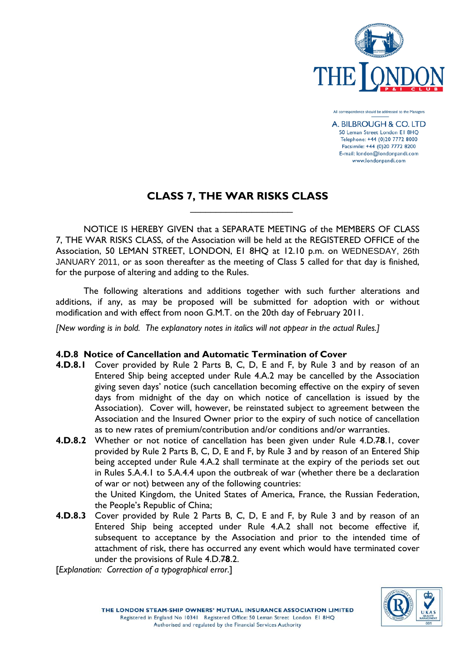

All correspondence should be addressed to the Managers

A. BILBROUGH & CO. LTD 50 Leman Street London El 8HO Telephone: +44 (0)20 7772 8000 Facsimile: +44 (0)20 7772 8200 E-mail: london@londonpandi.com www.londonpandi.com

## **CLASS 7, THE WAR RISKS CLASS**

NOTICE IS HEREBY GIVEN that a SEPARATE MEETING of the MEMBERS OF CLASS 7, THE WAR RISKS CLASS, of the Association will be held at the REGISTERED OFFICE of the Association, 50 LEMAN STREET, LONDON, E1 8HQ at 12.10 p.m. on WEDNESDAY, 26th JANUARY 2011, or as soon thereafter as the meeting of Class 5 called for that day is finished, for the purpose of altering and adding to the Rules.

The following alterations and additions together with such further alterations and additions, if any, as may be proposed will be submitted for adoption with or without modification and with effect from noon G.M.T. on the 20th day of February 2011.

*[New wording is in bold. The explanatory notes in italics will not appear in the actual Rules.]* 

## **4.D.8 Notice of Cancellation and Automatic Termination of Cover**

 $\mathcal{L}_\text{max}$  and  $\mathcal{L}_\text{max}$  and  $\mathcal{L}_\text{max}$  and  $\mathcal{L}_\text{max}$  and  $\mathcal{L}_\text{max}$ 

- **4.D.8.1** Cover provided by Rule 2 Parts B, C, D, E and F, by Rule 3 and by reason of an Entered Ship being accepted under Rule 4.A.2 may be cancelled by the Association giving seven days' notice (such cancellation becoming effective on the expiry of seven days from midnight of the day on which notice of cancellation is issued by the Association). Cover will, however, be reinstated subject to agreement between the Association and the Insured Owner prior to the expiry of such notice of cancellation as to new rates of premium/contribution and/or conditions and/or warranties.
- **4.D.8.2** Whether or not notice of cancellation has been given under Rule 4.D.7**8**.1, cover provided by Rule 2 Parts B, C, D, E and F, by Rule 3 and by reason of an Entered Ship being accepted under Rule 4.A.2 shall terminate at the expiry of the periods set out in Rules 5.A.4.1 to 5.A.4.4 upon the outbreak of war (whether there be a declaration of war or not) between any of the following countries:

the United Kingdom, the United States of America, France, the Russian Federation, the People's Republic of China;

**4.D.8.3** Cover provided by Rule 2 Parts B, C, D, E and F, by Rule 3 and by reason of an Entered Ship being accepted under Rule 4.A.2 shall not become effective if, subsequent to acceptance by the Association and prior to the intended time of attachment of risk, there has occurred any event which would have terminated cover under the provisions of Rule 4.D.7**8**.2.

[*Explanation: Correction of a typographical error*.]